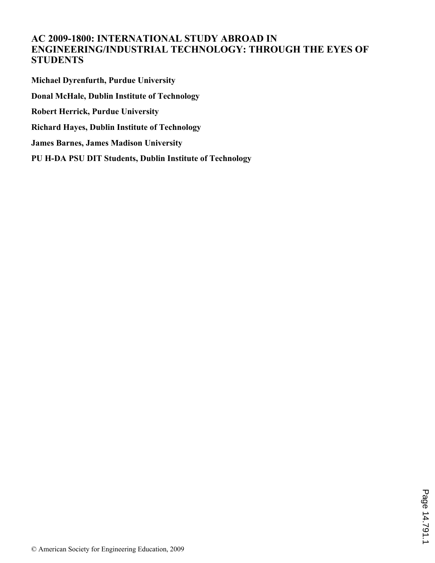# **AC 2009-1800: INTERNATIONAL STUDY ABROAD IN ENGINEERING/INDUSTRIAL TECHNOLOGY: THROUGH THE EYES OF STUDENTS**

**Michael Dyrenfurth, Purdue University Donal McHale, Dublin Institute of Technology Robert Herrick, Purdue University Richard Hayes, Dublin Institute of Technology James Barnes, James Madison University PU H-DA PSU DIT Students, Dublin Institute of Technology**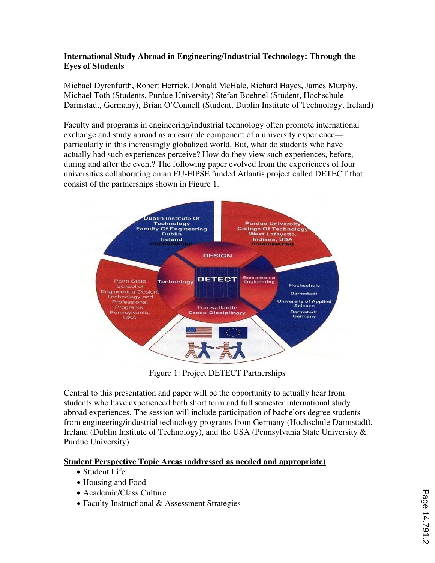## **International Study Abroad in Engineering/Industrial Technology: Through the Eyes of Students**

Michael Dyrenfurth, Robert Herrick, Donald McHale, Richard Hayes, James Murphy, Michael Toth (Students, Purdue University) Stefan Boehnel (Student, Hochschule Darmstadt, Germany), Brian O'Connell (Student, Dublin Institute of Technology, Ireland)

Faculty and programs in engineering/industrial technology often promote international exchange and study abroad as a desirable component of a university experience particularly in this increasingly globalized world. But, what do students who have actually had such experiences perceive? How do they view such experiences, before, during and after the event? The following paper evolved from the experiences of four universities collaborating on an EU-FIPSE funded Atlantis project called DETECT that consist of the partnerships shown in Figure 1.



Figure 1: Project DETECT Partnerships

Central to this presentation and paper will be the opportunity to actually hear from students who have experienced both short term and full semester international study abroad experiences. The session will include participation of bachelors degree students from engineering/industrial technology programs from Germany (Hochschule Darmstadt), Ireland (Dublin Institute of Technology), and the USA (Pennsylvania State University & Purdue University).

## **Student Perspective Topic Areas (addressed as needed and appropriate)**

- Student Life
- Housing and Food
- Academic/Class Culture
- Faculty Instructional & Assessment Strategies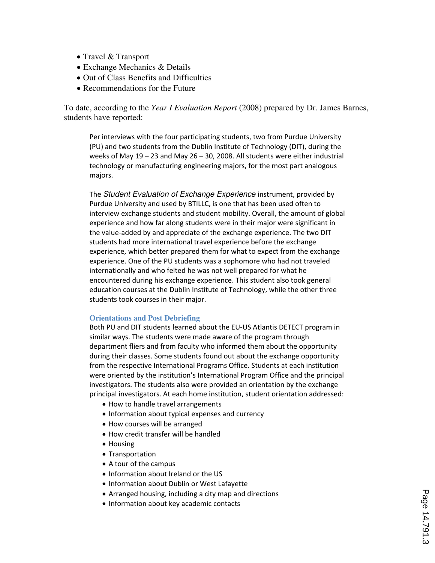- Travel & Transport
- Exchange Mechanics & Details
- Out of Class Benefits and Difficulties
- Recommendations for the Future

To date, according to the *Year I Evaluation Report* (2008) prepared by Dr. James Barnes, students have reported:

Per interviews with the four participating students, two from Purdue University (PU) and two students from the Dublin Institute of Technology (DIT), during the weeks of May 19 – 23 and May 26 – 30, 2008. All students were either industrial technology or manufacturing engineering majors, for the most part analogous majors.

The Student Evaluation of Exchange Experience instrument, provided by Purdue University and used by BTILLC, is one that has been used often to interview exchange students and student mobility. Overall, the amount of global experience and how far along students were in their major were significant in the value-added by and appreciate of the exchange experience. The two DIT students had more international travel experience before the exchange experience, which better prepared them for what to expect from the exchange experience. One of the PU students was a sophomore who had not traveled internationally and who felted he was not well prepared for what he encountered during his exchange experience. This student also took general education courses at the Dublin Institute of Technology, while the other three students took courses in their major.

#### **Orientations and Post Debriefing**

Both PU and DIT students learned about the EU-US Atlantis DETECT program in similar ways. The students were made aware of the program through department fliers and from faculty who informed them about the opportunity during their classes. Some students found out about the exchange opportunity from the respective International Programs Office. Students at each institution were oriented by the institution's International Program Office and the principal investigators. The students also were provided an orientation by the exchange principal investigators. At each home institution, student orientation addressed:

- How to handle travel arrangements
- Information about typical expenses and currency
- How courses will be arranged
- How credit transfer will be handled
- Housing
- Transportation
- A tour of the campus
- Information about Ireland or the US
- Information about Dublin or West Lafayette
- Arranged housing, including a city map and directions
- Information about key academic contacts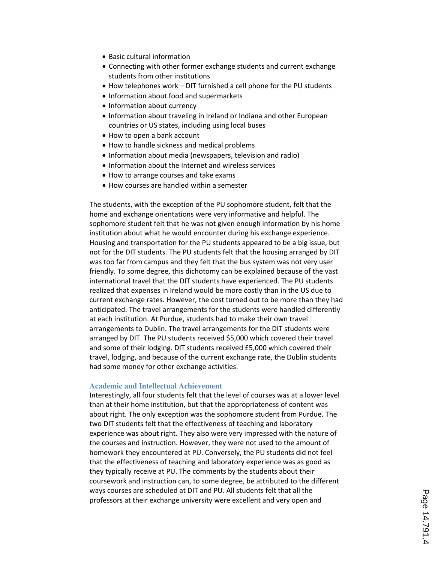- Basic cultural information
- Connecting with other former exchange students and current exchange students from other institutions
- How telephones work DIT furnished a cell phone for the PU students
- Information about food and supermarkets
- Information about currency
- Information about traveling in Ireland or Indiana and other European countries or US states, including using local buses
- How to open a bank account
- How to handle sickness and medical problems
- Information about media (newspapers, television and radio)
- Information about the Internet and wireless services
- How to arrange courses and take exams
- How courses are handled within a semester

The students, with the exception of the PU sophomore student, felt that the home and exchange orientations were very informative and helpful. The sophomore student felt that he was not given enough information by his home institution about what he would encounter during his exchange experience. Housing and transportation for the PU students appeared to be a big issue, but not for the DIT students. The PU students felt that the housing arranged by DIT was too far from campus and they felt that the bus system was not very user friendly. To some degree, this dichotomy can be explained because of the vast international travel that the DIT students have experienced. The PU students realized that expenses in Ireland would be more costly than in the US due to current exchange rates. However, the cost turned out to be more than they had anticipated. The travel arrangements for the students were handled differently at each institution. At Purdue, students had to make their own travel arrangements to Dublin. The travel arrangements for the DIT students were arranged by DIT. The PU students received \$5,000 which covered their travel and some of their lodging. DIT students received £5,000 which covered their travel, lodging, and because of the current exchange rate, the Dublin students had some money for other exchange activities.

#### **Academic and Intellectual Achievement**

Interestingly, all four students felt that the level of courses was at a lower level than at their home institution, but that the appropriateness of content was about right. The only exception was the sophomore student from Purdue. The two DIT students felt that the effectiveness of teaching and laboratory experience was about right. They also were very impressed with the nature of the courses and instruction. However, they were not used to the amount of homework they encountered at PU. Conversely, the PU students did not feel that the effectiveness of teaching and laboratory experience was as good as they typically receive at PU. The comments by the students about their coursework and instruction can, to some degree, be attributed to the different ways courses are scheduled at DIT and PU. All students felt that all the professors at their exchange university were excellent and very open and